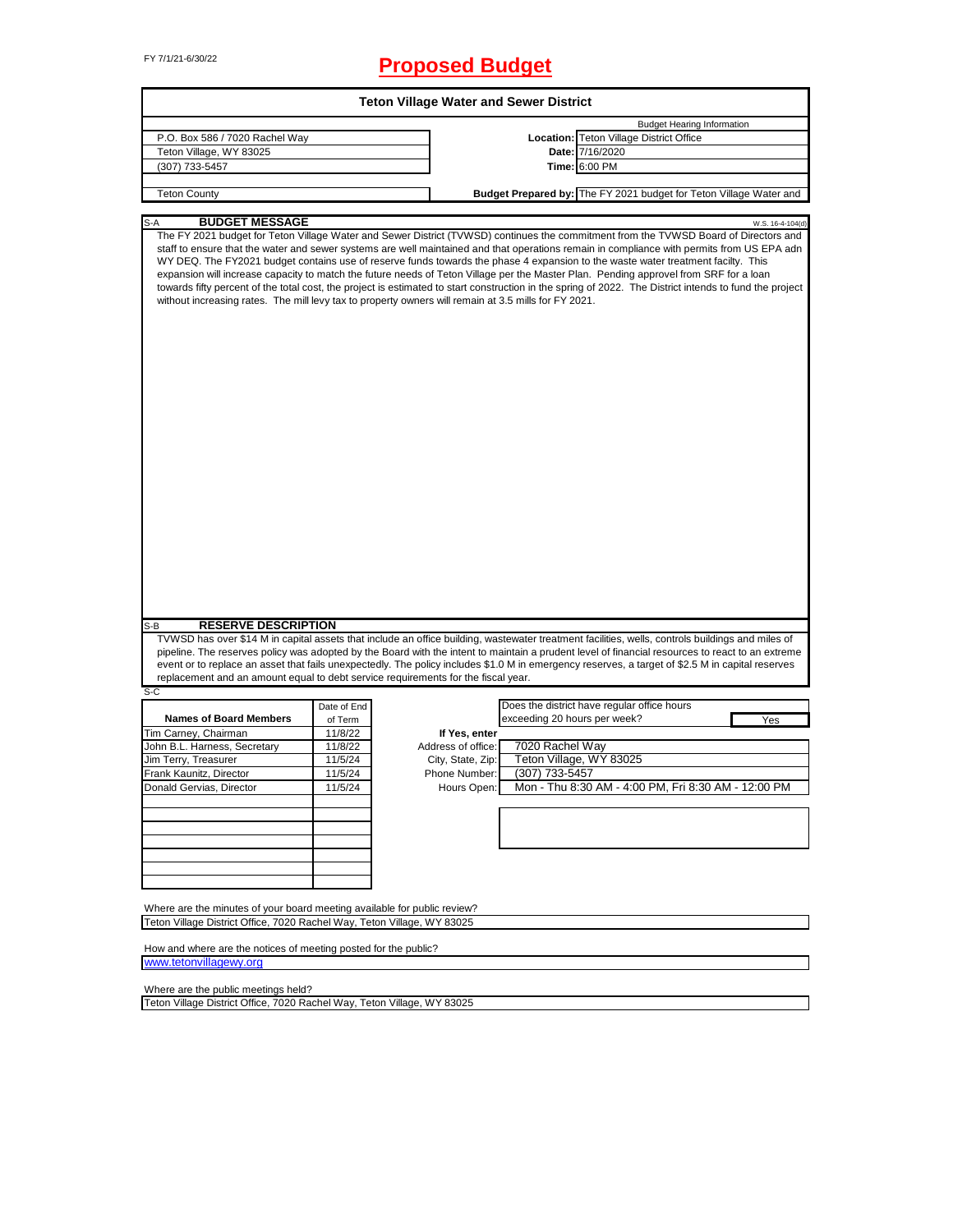# FY 7/1/21-6/30/22 **Proposed Budget**

| <b>Teton Village Water and Sewer District</b>                                                                                                               |             |                    |                              |                                                                                                                                                                                                                                                                                                                                                                                                                                                                                                                                                                                                                                                                                                                                                |  |  |  |
|-------------------------------------------------------------------------------------------------------------------------------------------------------------|-------------|--------------------|------------------------------|------------------------------------------------------------------------------------------------------------------------------------------------------------------------------------------------------------------------------------------------------------------------------------------------------------------------------------------------------------------------------------------------------------------------------------------------------------------------------------------------------------------------------------------------------------------------------------------------------------------------------------------------------------------------------------------------------------------------------------------------|--|--|--|
|                                                                                                                                                             |             |                    |                              | <b>Budget Hearing Information</b>                                                                                                                                                                                                                                                                                                                                                                                                                                                                                                                                                                                                                                                                                                              |  |  |  |
| P.O. Box 586 / 7020 Rachel Way                                                                                                                              |             |                    |                              | Location: Teton Village District Office                                                                                                                                                                                                                                                                                                                                                                                                                                                                                                                                                                                                                                                                                                        |  |  |  |
| Teton Village, WY 83025                                                                                                                                     |             |                    |                              | Date: 7/16/2020                                                                                                                                                                                                                                                                                                                                                                                                                                                                                                                                                                                                                                                                                                                                |  |  |  |
| (307) 733-5457                                                                                                                                              |             |                    |                              | Time: 6:00 PM                                                                                                                                                                                                                                                                                                                                                                                                                                                                                                                                                                                                                                                                                                                                  |  |  |  |
|                                                                                                                                                             |             |                    |                              | Budget Prepared by: The FY 2021 budget for Teton Village Water and                                                                                                                                                                                                                                                                                                                                                                                                                                                                                                                                                                                                                                                                             |  |  |  |
|                                                                                                                                                             |             |                    |                              |                                                                                                                                                                                                                                                                                                                                                                                                                                                                                                                                                                                                                                                                                                                                                |  |  |  |
| <b>Teton County</b><br><b>BUDGET MESSAGE</b><br>S-A<br>without increasing rates. The mill levy tax to property owners will remain at 3.5 mills for FY 2021. |             |                    |                              | W.S. 16-4-104(d)<br>The FY 2021 budget for Teton Village Water and Sewer District (TVWSD) continues the commitment from the TVWSD Board of Directors and<br>staff to ensure that the water and sewer systems are well maintained and that operations remain in compliance with permits from US EPA adn<br>WY DEQ. The FY2021 budget contains use of reserve funds towards the phase 4 expansion to the waste water treatment facilty. This<br>expansion will increase capacity to match the future needs of Teton Village per the Master Plan. Pending approvel from SRF for a loan<br>towards fifty percent of the total cost, the project is estimated to start construction in the spring of 2022. The District intends to fund the project |  |  |  |
| <b>RESERVE DESCRIPTION</b><br>S-B                                                                                                                           |             |                    |                              |                                                                                                                                                                                                                                                                                                                                                                                                                                                                                                                                                                                                                                                                                                                                                |  |  |  |
|                                                                                                                                                             |             |                    |                              | TVWSD has over \$14 M in capital assets that include an office building, wastewater treatment facilities, wells, controls buildings and miles of                                                                                                                                                                                                                                                                                                                                                                                                                                                                                                                                                                                               |  |  |  |
|                                                                                                                                                             |             |                    |                              | pipeline. The reserves policy was adopted by the Board with the intent to maintain a prudent level of financial resources to react to an extreme<br>event or to replace an asset that fails unexpectedly. The policy includes \$1.0 M in emergency reserves, a target of \$2.5 M in capital reserves                                                                                                                                                                                                                                                                                                                                                                                                                                           |  |  |  |
| replacement and an amount equal to debt service requirements for the fiscal year.                                                                           |             |                    |                              |                                                                                                                                                                                                                                                                                                                                                                                                                                                                                                                                                                                                                                                                                                                                                |  |  |  |
| S-C                                                                                                                                                         |             |                    |                              |                                                                                                                                                                                                                                                                                                                                                                                                                                                                                                                                                                                                                                                                                                                                                |  |  |  |
|                                                                                                                                                             | Date of End |                    |                              | Does the district have regular office hours                                                                                                                                                                                                                                                                                                                                                                                                                                                                                                                                                                                                                                                                                                    |  |  |  |
| <b>Names of Board Members</b>                                                                                                                               | of Term     |                    | exceeding 20 hours per week? | Yes                                                                                                                                                                                                                                                                                                                                                                                                                                                                                                                                                                                                                                                                                                                                            |  |  |  |
| Tim Carney, Chairman                                                                                                                                        | 11/8/22     | If Yes, enter      |                              |                                                                                                                                                                                                                                                                                                                                                                                                                                                                                                                                                                                                                                                                                                                                                |  |  |  |
| John B.L. Harness, Secretary                                                                                                                                | 11/8/22     | Address of office: | 7020 Rachel Way              |                                                                                                                                                                                                                                                                                                                                                                                                                                                                                                                                                                                                                                                                                                                                                |  |  |  |
| Jim Terry, Treasurer                                                                                                                                        | 11/5/24     | City, State, Zip:  |                              | Teton Village, WY 83025                                                                                                                                                                                                                                                                                                                                                                                                                                                                                                                                                                                                                                                                                                                        |  |  |  |
| Frank Kaunitz, Director                                                                                                                                     | 11/5/24     | Phone Number:      | (307) 733-5457               |                                                                                                                                                                                                                                                                                                                                                                                                                                                                                                                                                                                                                                                                                                                                                |  |  |  |
| Donald Gervias, Director                                                                                                                                    | 11/5/24     | Hours Open:        |                              | Mon - Thu 8:30 AM - 4:00 PM, Fri 8:30 AM - 12:00 PM                                                                                                                                                                                                                                                                                                                                                                                                                                                                                                                                                                                                                                                                                            |  |  |  |
|                                                                                                                                                             |             |                    |                              |                                                                                                                                                                                                                                                                                                                                                                                                                                                                                                                                                                                                                                                                                                                                                |  |  |  |
|                                                                                                                                                             |             |                    |                              |                                                                                                                                                                                                                                                                                                                                                                                                                                                                                                                                                                                                                                                                                                                                                |  |  |  |
|                                                                                                                                                             |             |                    |                              |                                                                                                                                                                                                                                                                                                                                                                                                                                                                                                                                                                                                                                                                                                                                                |  |  |  |
|                                                                                                                                                             |             |                    |                              |                                                                                                                                                                                                                                                                                                                                                                                                                                                                                                                                                                                                                                                                                                                                                |  |  |  |
|                                                                                                                                                             |             |                    |                              |                                                                                                                                                                                                                                                                                                                                                                                                                                                                                                                                                                                                                                                                                                                                                |  |  |  |
| Where are the minutes of your board meeting available for public review?                                                                                    |             |                    |                              |                                                                                                                                                                                                                                                                                                                                                                                                                                                                                                                                                                                                                                                                                                                                                |  |  |  |
| Teton Village District Office, 7020 Rachel Way, Teton Village, WY 83025                                                                                     |             |                    |                              |                                                                                                                                                                                                                                                                                                                                                                                                                                                                                                                                                                                                                                                                                                                                                |  |  |  |
| How and where are the notices of meeting posted for the public?                                                                                             |             |                    |                              |                                                                                                                                                                                                                                                                                                                                                                                                                                                                                                                                                                                                                                                                                                                                                |  |  |  |

[www.teton](http://www.tetonvillagewy.org/)villagewy.org

Where are the public meetings held?

Teton Village District Office, 7020 Rachel Way, Teton Village, WY 83025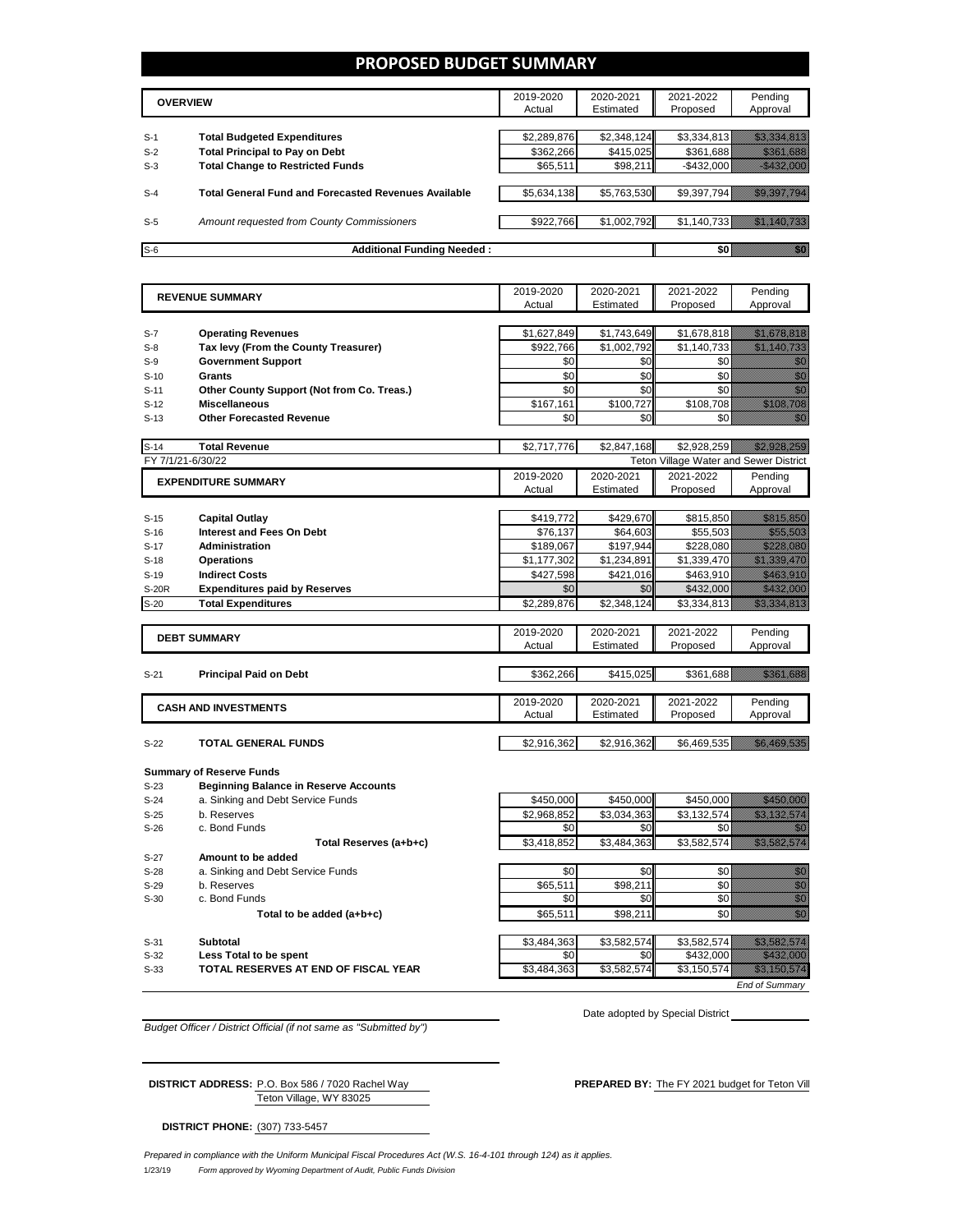## **PROPOSED BUDGET SUMMARY**

|       | <b>OVERVIEW</b>                                             | 2019-2020<br>Actual | 2020-2021<br>Estimated | 2021-2022<br>Proposed | Pending<br>Approval |
|-------|-------------------------------------------------------------|---------------------|------------------------|-----------------------|---------------------|
|       |                                                             |                     |                        |                       |                     |
| $S-1$ | <b>Total Budgeted Expenditures</b>                          | \$2,289,876         | \$2,348,124            | \$3.334.813           |                     |
| $S-2$ | <b>Total Principal to Pay on Debt</b>                       | \$362.266           | \$415.025              | \$361.688             |                     |
| $S-3$ | <b>Total Change to Restricted Funds</b>                     | \$65,511            | \$98,211               | $-$ \$432,000         |                     |
|       |                                                             |                     |                        |                       |                     |
| $S-4$ | <b>Total General Fund and Forecasted Revenues Available</b> | \$5,634,138         | \$5,763,530            | \$9,397,794           |                     |
|       |                                                             |                     |                        |                       |                     |
| $S-5$ | Amount requested from County Commissioners                  | \$922,766           | \$1,002,792            | \$1,140,733           |                     |
|       |                                                             |                     |                        |                       |                     |
| $S-6$ | <b>Additional Funding Needed:</b>                           |                     |                        |                       |                     |

|              | <b>REVENUE SUMMARY</b>                       | 2019-2020   | 2020-2021   | 2021-2022                              | Pending                                                                                                                                                                                                                        |
|--------------|----------------------------------------------|-------------|-------------|----------------------------------------|--------------------------------------------------------------------------------------------------------------------------------------------------------------------------------------------------------------------------------|
|              |                                              | Actual      | Estimated   | Proposed                               | Approval                                                                                                                                                                                                                       |
|              |                                              |             |             |                                        |                                                                                                                                                                                                                                |
| $S-7$        | <b>Operating Revenues</b>                    | \$1,627,849 | \$1,743,649 | \$1,678,818                            | <u> Hilling (Maria Albania)</u>                                                                                                                                                                                                |
| $S-8$        | Tax levy (From the County Treasurer)         | \$922.766   | \$1,002,792 | \$1,140,733                            | an dhe an an Aonaichte                                                                                                                                                                                                         |
| $S-9$        | <b>Government Support</b>                    | \$0         | \$0         | \$0                                    | en de la familie de la familie de la familie de la familie de la familie de la familie de la familie de la fam<br>Espainia                                                                                                     |
| $S-10$       | <b>Grants</b>                                | \$0         | \$0         | \$0                                    | en de la familie de la familie de la familie de la familie de la familie de la familie de la familie de la fa<br>Concelho de la familie de la familie de la familie de la familie de la familie de la familie de la familie de |
| $S-11$       | Other County Support (Not from Co. Treas.)   | \$0         | \$0         | \$0                                    | en en de la familie de la familie de la familie de la familie de la familie de la familie de la familie de la<br>Décès de la familie de la familie de la familie de la familie de la familie de la familie de la familie de la |
| $S-12$       | <b>Miscellaneous</b>                         | \$167,161   | \$100,727   | \$108,708                              | <u> Maria Maria I</u>                                                                                                                                                                                                          |
| $S-13$       | <b>Other Forecasted Revenue</b>              | \$0         | \$0         | \$0                                    | W.                                                                                                                                                                                                                             |
|              |                                              |             |             |                                        |                                                                                                                                                                                                                                |
| $S-14$       | <b>Total Revenue</b>                         | \$2,717,776 | \$2,847,168 | \$2,928,259                            | <u> Hillisticit i de l</u>                                                                                                                                                                                                     |
|              | FY 7/1/21-6/30/22                            |             |             | Teton Village Water and Sewer District |                                                                                                                                                                                                                                |
|              | <b>EXPENDITURE SUMMARY</b>                   | 2019-2020   | 2020-2021   | 2021-2022                              | Pending                                                                                                                                                                                                                        |
|              |                                              | Actual      | Estimated   | Proposed                               | Approval                                                                                                                                                                                                                       |
|              |                                              |             |             |                                        |                                                                                                                                                                                                                                |
| $S-15$       | <b>Capital Outlay</b>                        | \$419,772   | \$429,670   | \$815,850                              | <u> Hardina Sara</u>                                                                                                                                                                                                           |
| $S-16$       | <b>Interest and Fees On Debt</b>             | \$76,137    | \$64,603    | \$55,503                               | <u>mana a</u>                                                                                                                                                                                                                  |
| $S-17$       | Administration                               | \$189,067   | \$197,944   | \$228,080                              | <u>Markoa (</u>                                                                                                                                                                                                                |
| $S-18$       | <b>Operations</b>                            | \$1,177,302 | \$1,234,891 | \$1,339,470                            | a katika katika katika alikuwa nchi ya katika alikuwa nchi ya katika alikuwa nchi ya katika alikuwa nchi ya ka                                                                                                                 |
| $S-19$       | <b>Indirect Costs</b>                        | \$427,598   | \$421,016   | \$463,910                              | <u> Maria Maria Indonesia (</u>                                                                                                                                                                                                |
| <b>S-20R</b> | <b>Expenditures paid by Reserves</b>         | \$0         | \$0         | \$432,000                              | <u> Hillian Sara</u>                                                                                                                                                                                                           |
| $S-20$       | <b>Total Expenditures</b>                    | \$2.289.876 | \$2,348,124 | \$3.334.813                            | a a chuid ann an chuid ann an chuid an chuid an chuid ann an chuid an chuid ann an chuid ann an chuid ann an c                                                                                                                 |
|              |                                              |             |             |                                        |                                                                                                                                                                                                                                |
|              | <b>DEBT SUMMARY</b>                          | 2019-2020   | 2020-2021   | 2021-2022                              | Pending                                                                                                                                                                                                                        |
|              |                                              | Actual      | Estimated   | Proposed                               | Approval                                                                                                                                                                                                                       |
|              |                                              |             |             |                                        |                                                                                                                                                                                                                                |
| $S-21$       | <b>Principal Paid on Debt</b>                | \$362,266   | \$415,025   | \$361,688                              | <u> Historiano e p</u>                                                                                                                                                                                                         |
|              |                                              |             |             |                                        |                                                                                                                                                                                                                                |
|              | <b>CASH AND INVESTMENTS</b>                  | 2019-2020   | 2020-2021   | 2021-2022                              | Pending                                                                                                                                                                                                                        |
|              |                                              | Actual      | Estimated   | Proposed                               | Approval                                                                                                                                                                                                                       |
|              |                                              |             |             |                                        |                                                                                                                                                                                                                                |
| $S-22$       | <b>TOTAL GENERAL FUNDS</b>                   | \$2,916,362 | \$2,916,362 | \$6,469,535                            | <u> Karl Sara</u>                                                                                                                                                                                                              |
|              |                                              |             |             |                                        |                                                                                                                                                                                                                                |
|              | <b>Summary of Reserve Funds</b>              |             |             |                                        |                                                                                                                                                                                                                                |
| $S-23$       | <b>Beginning Balance in Reserve Accounts</b> |             |             |                                        |                                                                                                                                                                                                                                |
| $S-24$       | a. Sinking and Debt Service Funds            | \$450,000   | \$450,000   | \$450,000                              |                                                                                                                                                                                                                                |
| $S-25$       | b. Reserves                                  | \$2,968,852 | \$3,034,363 | \$3,132,574                            | <u>Tillisti till för ett s</u>                                                                                                                                                                                                 |
| $S-26$       | c. Bond Funds                                | \$0         | \$0         | \$0                                    |                                                                                                                                                                                                                                |

Total Reserves (a+b+c) **\$3,418,852** \$3,484,363 \$3,582,574 \$3,582,574 S-27 **Amount to be added**<br>S-28 **a.** Sinking and Debt Se a. Sinking and Debt Service Funds  $\begin{array}{ccc} \hline \end{array}$  \$0  $\begin{array}{ccc} \hline \end{array}$  \$0  $\begin{array} \hline \end{array}$  \$0  $\begin{array} \hline \end{array}$  \$0 S-29 b. Reserves \$65,511 \$98,211 \$0 \$0 S-30 c. Bond Funds \$0 \$0 \$0 \$0 **Total to be added (a+b+c) b**  $\begin{bmatrix} 1 & 3 & 6 & 5 & 5 & 11 \\ 1 & 6 & 5 & 6 & 5 & 11 \\ 1 & 6 & 6 & 6 & 6 & 6 & 11 \\ 1 & 6 & 6 & 6 & 6 & 6 & 6 & 6 \\ 1 & 16 & 12 & 10 & 11 & 16 & 18 \\ 10 & 10 & 10 & 10 & 11 & 16 & 18 \\ 11 & 10 & 10 & 10 & 11 & 18 & 18 \\ 12 & 10 & 10 & 10 &$ S-31 **Subtotal** \$3,484,363 \$3,582,574 \$3,582,574 \$3,582,574

S-32 **Less Total to be spent** \$0 \$0 \$432,000 \$432,000 S-33 **TOTAL RESERVES AT END OF FISCAL YEAR** \$3,484,363 \$3,582,574 \$3,150,574 \$3,150,574 \$3,150,574 \$3,150,574 \$3,150,574 \$3,150,574 \$3,150,574 \$3,150,574 \$3,150,574 \$3,150,574 \$3,150,574 \$3,150,574 \$3,150,574 \$3,150,574 \$3

Date adopted by Special District

*End of Summary*

*Budget Officer / District Official (if not same as "Submitted by")*

Teton Village, WY 83025

DISTRICT ADDRESS: P.O. Box 586 / 7020 Rachel Way PREPARED BY: The FY 2021 budget for Teton Vill

**DISTRICT PHONE:** (307) 733-5457

1/23/19 *Form approved by Wyoming Department of Audit, Public Funds Division Prepared in compliance with the Uniform Municipal Fiscal Procedures Act (W.S. 16-4-101 through 124) as it applies.*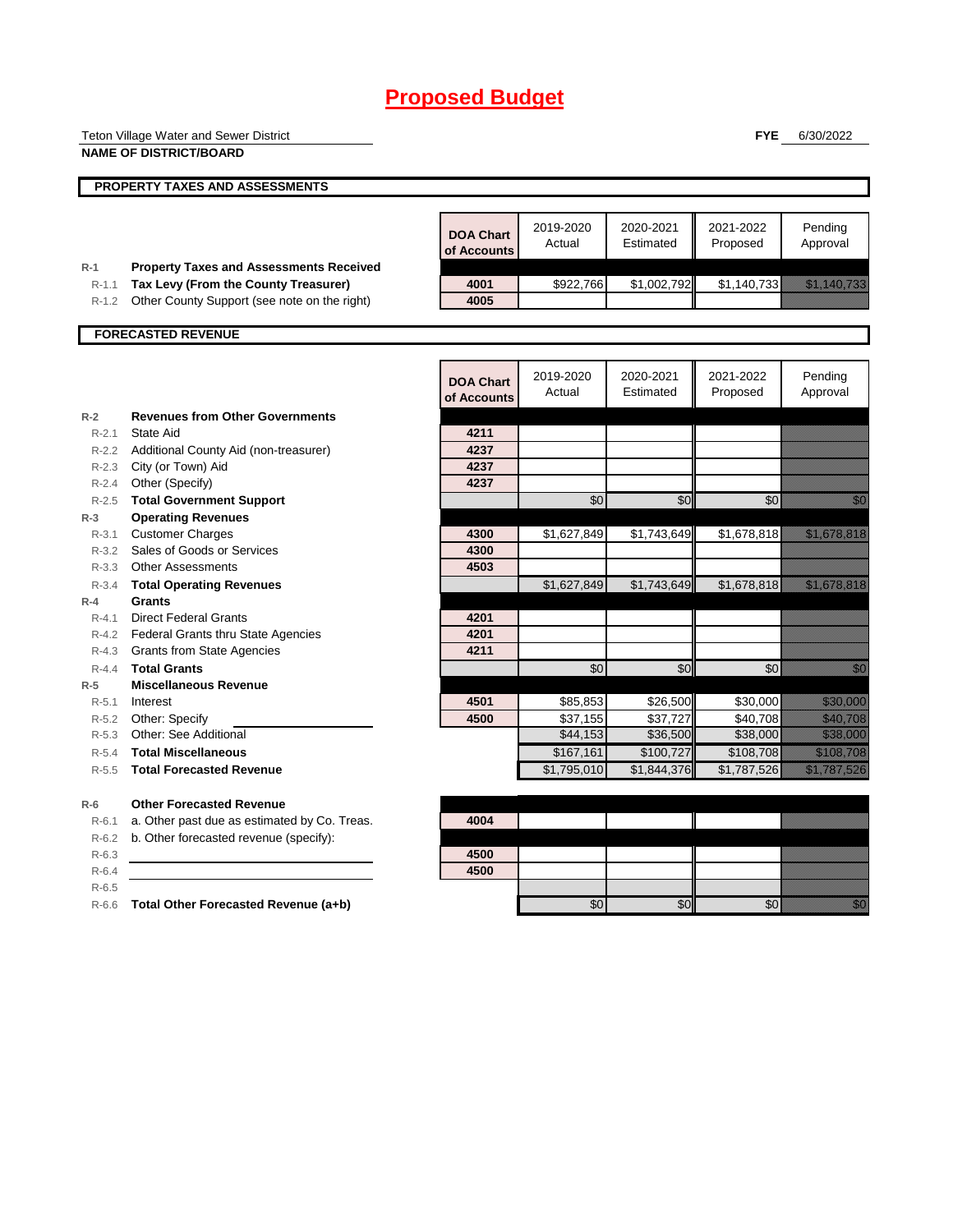|                        | Teton Village Water and Sewer District                                                 |                                 |                       |                        | <b>FYE</b>            | 6/30/2022                                                                                                                                                                                                                        |
|------------------------|----------------------------------------------------------------------------------------|---------------------------------|-----------------------|------------------------|-----------------------|----------------------------------------------------------------------------------------------------------------------------------------------------------------------------------------------------------------------------------|
|                        | <b>NAME OF DISTRICT/BOARD</b>                                                          |                                 |                       |                        |                       |                                                                                                                                                                                                                                  |
|                        | PROPERTY TAXES AND ASSESSMENTS                                                         |                                 |                       |                        |                       |                                                                                                                                                                                                                                  |
|                        |                                                                                        |                                 |                       |                        |                       |                                                                                                                                                                                                                                  |
|                        |                                                                                        | <b>DOA Chart</b><br>of Accounts | 2019-2020<br>Actual   | 2020-2021<br>Estimated | 2021-2022<br>Proposed | Pending<br>Approval                                                                                                                                                                                                              |
| $R-1$<br>$R-1.1$       | <b>Property Taxes and Assessments Received</b><br>Tax Levy (From the County Treasurer) | 4001                            | \$922,766             | \$1,002,792            | \$1,140,733           | <u> Kabupatèn Bandaran Indonesia (Kabupatèn Bandaran Indonesia (Kabupatèn Bandaran Indonesia (Kabupatèn Bandaran</u>                                                                                                             |
| $R-1.2$                | Other County Support (see note on the right)                                           | 4005                            |                       |                        |                       |                                                                                                                                                                                                                                  |
|                        |                                                                                        |                                 |                       |                        |                       |                                                                                                                                                                                                                                  |
|                        | <b>FORECASTED REVENUE</b>                                                              |                                 |                       |                        |                       |                                                                                                                                                                                                                                  |
|                        |                                                                                        | <b>DOA Chart</b><br>of Accounts | 2019-2020<br>Actual   | 2020-2021<br>Estimated | 2021-2022<br>Proposed | Pending<br>Approval                                                                                                                                                                                                              |
| $R-2$                  | <b>Revenues from Other Governments</b>                                                 |                                 |                       |                        |                       |                                                                                                                                                                                                                                  |
| $R-2.1$                | State Aid                                                                              | 4211                            |                       |                        |                       |                                                                                                                                                                                                                                  |
|                        | R-2.2 Additional County Aid (non-treasurer)                                            | 4237                            |                       |                        |                       |                                                                                                                                                                                                                                  |
| $R - 2.3$              | City (or Town) Aid<br>R-2.4 Other (Specify)                                            | 4237<br>4237                    |                       |                        |                       |                                                                                                                                                                                                                                  |
| $R - 2.5$              | <b>Total Government Support</b>                                                        |                                 | \$0                   | \$0                    | \$0                   | en de la familie de la familie de la familie de la familie de la familie de la familie de la familie de la fam<br>Constituit de la familie de la familie de la familie de la familie de la familie de la familie de la familie d |
| $R-3$                  | <b>Operating Revenues</b>                                                              |                                 |                       |                        |                       |                                                                                                                                                                                                                                  |
| $R - 3.1$              | <b>Customer Charges</b>                                                                | 4300                            | \$1,627,849           | \$1,743,649            | \$1,678,818           | <u> Elizabeth Charles (Charles Charles Charles Charles Charles Charles Charles Charles Charles Charles Charles Ch</u>                                                                                                            |
| $R - 3.2$              | Sales of Goods or Services                                                             | 4300                            |                       |                        |                       |                                                                                                                                                                                                                                  |
| R-3.3                  | <b>Other Assessments</b>                                                               | 4503                            |                       |                        |                       |                                                                                                                                                                                                                                  |
| $R - 3.4$              | <b>Total Operating Revenues</b><br><b>Grants</b>                                       |                                 | \$1,627,849           | \$1,743,649            | \$1,678,818           | <u>tika kalendari ka</u>                                                                                                                                                                                                         |
| $R-4$<br>$R - 4.1$     | <b>Direct Federal Grants</b>                                                           | 4201                            |                       |                        |                       |                                                                                                                                                                                                                                  |
|                        | R-4.2 Federal Grants thru State Agencies                                               | 4201                            |                       |                        |                       |                                                                                                                                                                                                                                  |
| R-4.3                  | <b>Grants from State Agencies</b>                                                      | 4211                            |                       |                        |                       |                                                                                                                                                                                                                                  |
| $R-4.4$                | <b>Total Grants</b>                                                                    |                                 | \$0                   | \$0                    | \$0                   | , Kal                                                                                                                                                                                                                            |
| $R-5$                  | <b>Miscellaneous Revenue</b>                                                           |                                 |                       |                        |                       |                                                                                                                                                                                                                                  |
| $R - 5.1$              | Interest                                                                               | 4501                            | \$85,853              | \$26,500               | \$30,000              | <u> Historiano e d</u>                                                                                                                                                                                                           |
| R-5.2                  | Other: Specify                                                                         | 4500                            | \$37,155              | \$37,727               | \$40,708              | <u> Karl Tingga</u>                                                                                                                                                                                                              |
| $R - 5.3$<br>$R - 5.4$ | Other: See Additional<br><b>Total Miscellaneous</b>                                    |                                 | \$44,153<br>\$167,161 | \$36,500<br>\$100,727  | \$38,000<br>\$108,708 | <u> Karl (</u><br><u> Kabupatèn Ba</u>                                                                                                                                                                                           |
| $R-5.5$                | <b>Total Forecasted Revenue</b>                                                        |                                 | \$1,795,010           | \$1,844,376            | \$1,787,526           | <u>era altara da seria da seria da seria da seria da seria da seria da seria da seria da seria da seria da seria</u>                                                                                                             |
|                        |                                                                                        |                                 |                       |                        |                       |                                                                                                                                                                                                                                  |
| $R-6$                  | <b>Other Forecasted Revenue</b>                                                        |                                 |                       |                        |                       |                                                                                                                                                                                                                                  |
| $R-6.1$                | a. Other past due as estimated by Co. Treas.                                           | 4004                            |                       |                        |                       |                                                                                                                                                                                                                                  |
| $R-6.2$                | b. Other forecasted revenue (specify):                                                 |                                 |                       |                        |                       |                                                                                                                                                                                                                                  |
| $R-6.3$                |                                                                                        | 4500                            |                       |                        |                       |                                                                                                                                                                                                                                  |
| $R-6.4$<br>$R-6.5$     |                                                                                        | 4500                            |                       |                        |                       |                                                                                                                                                                                                                                  |
|                        | R-6.6 Total Other Forecasted Revenue (a+b)                                             |                                 | \$0                   | \$0                    | \$0                   | en de la familie de la familie de la familie de la familie de la familie de la familie de la familie de la fa<br>Constitution de la familie de la familie de la familie de la familie de la familie de la familie de la familie  |
|                        |                                                                                        |                                 |                       |                        |                       |                                                                                                                                                                                                                                  |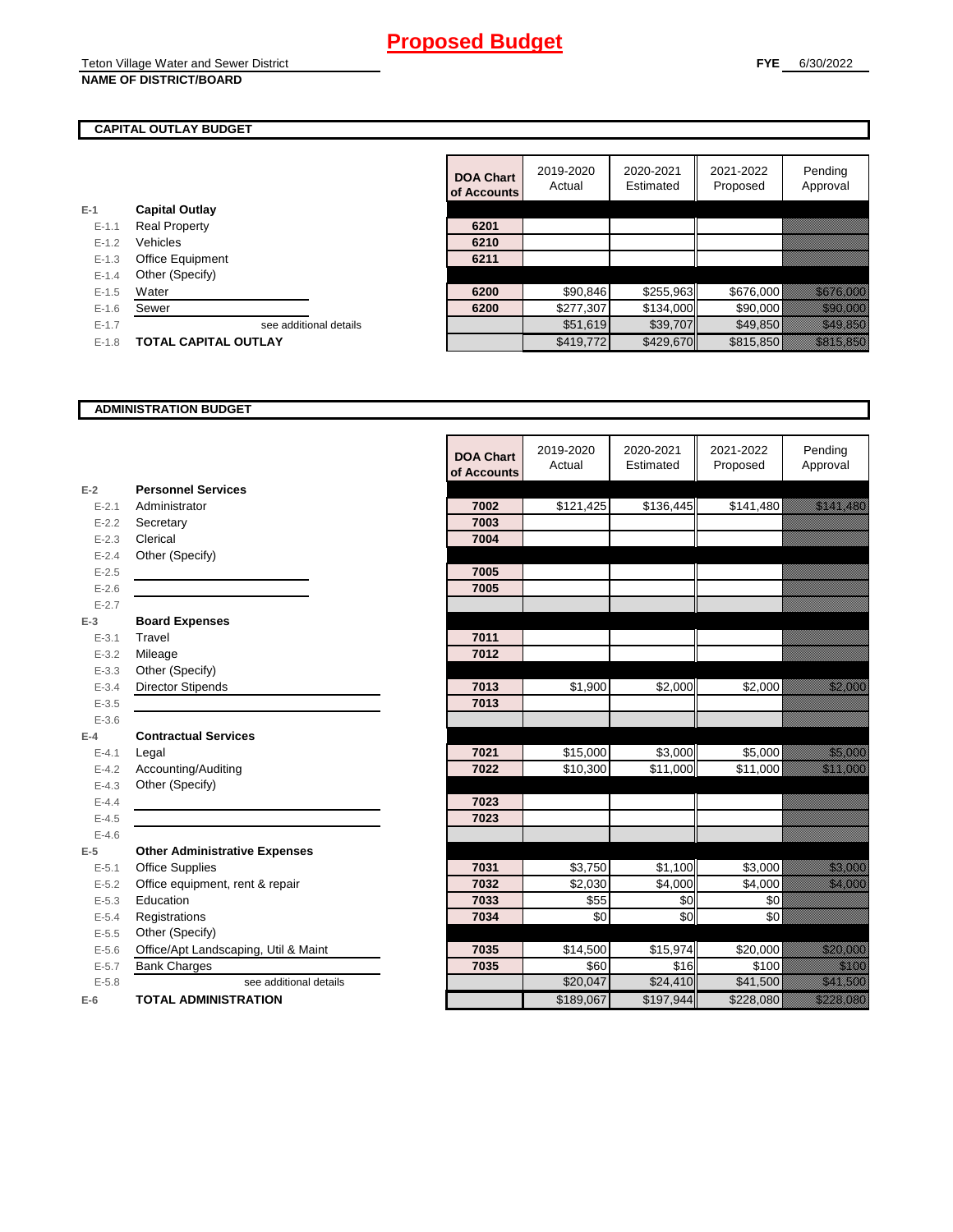## **CAPITAL OUTLAY BUDGET**

|           |                         | ui Auuu |
|-----------|-------------------------|---------|
| $E-1$     | <b>Capital Outlay</b>   |         |
| $E - 1.1$ | <b>Real Property</b>    | 6201    |
| $E - 1.2$ | Vehicles                | 6210    |
| $E-1.3$   | <b>Office Equipment</b> | 6211    |
| $E - 1.4$ | Other (Specify)         |         |
| $E - 1.5$ | Water                   | 6200    |
| $E-1.6$   | Sewer                   | 6200    |
| $E-1.7$   | see additional details  |         |
|           |                         |         |

|           |                             | <b>DOA Chart</b><br>of Accounts | 2019-2020<br>Actual | 2020-2021<br>Estimated | 2021-2022<br>Proposed | Pending<br>Approval       |
|-----------|-----------------------------|---------------------------------|---------------------|------------------------|-----------------------|---------------------------|
|           | <b>Capital Outlay</b>       |                                 |                     |                        |                       |                           |
| $E - 1.1$ | <b>Real Property</b>        | 6201                            |                     |                        |                       |                           |
| $E - 1.2$ | Vehicles                    | 6210                            |                     |                        |                       |                           |
| $E - 1.3$ | Office Equipment            | 6211                            |                     |                        |                       |                           |
| $E - 1.4$ | Other (Specify)             |                                 |                     |                        |                       |                           |
| $E-1.5$   | Water                       | 6200                            | \$90,846            | \$255,963              | \$676,000             | <u> Elizabeth Carl</u>    |
| $E - 1.6$ | Sewer                       | 6200                            | \$277,307           | \$134,000              | \$90,000              | <u> Historian Sta</u>     |
| $E-1.7$   | see additional details      |                                 | \$51,619            | \$39,707               | \$49,850              | <u> Karl Sara</u>         |
| $E-1.8$   | <b>TOTAL CAPITAL OUTLAY</b> |                                 | \$419,772           | \$429,670              | \$815,850             | <u>in ka</u> kalendari ka |

#### **ADMINISTRATION BUDGET**

|           |                                      | <b>DOA Chart</b><br>of Accounts | 2019-2020<br>Actual | 2020-2021<br>Estimated | 2021-2022<br>Proposed | Pending<br>Approval                                                                                                                                                                                                              |
|-----------|--------------------------------------|---------------------------------|---------------------|------------------------|-----------------------|----------------------------------------------------------------------------------------------------------------------------------------------------------------------------------------------------------------------------------|
| $E-2$     | <b>Personnel Services</b>            |                                 |                     |                        |                       |                                                                                                                                                                                                                                  |
| $E - 2.1$ | Administrator                        | 7002                            | \$121,425           | \$136,445              | \$141,480             | <u> Elizabeth Carlotta (</u>                                                                                                                                                                                                     |
| $E-2.2$   | Secretary                            | 7003                            |                     |                        |                       |                                                                                                                                                                                                                                  |
| $E - 2.3$ | Clerical                             | 7004                            |                     |                        |                       |                                                                                                                                                                                                                                  |
| $E - 2.4$ | Other (Specify)                      |                                 |                     |                        |                       |                                                                                                                                                                                                                                  |
| $E - 2.5$ |                                      | 7005                            |                     |                        |                       |                                                                                                                                                                                                                                  |
| $E-2.6$   |                                      | 7005                            |                     |                        |                       |                                                                                                                                                                                                                                  |
| $E - 2.7$ |                                      |                                 |                     |                        |                       |                                                                                                                                                                                                                                  |
| $E-3$     | <b>Board Expenses</b>                |                                 |                     |                        |                       |                                                                                                                                                                                                                                  |
| $E - 3.1$ | Travel                               | 7011                            |                     |                        |                       |                                                                                                                                                                                                                                  |
| $E - 3.2$ | Mileage                              | 7012                            |                     |                        |                       |                                                                                                                                                                                                                                  |
| $E - 3.3$ | Other (Specify)                      |                                 |                     |                        |                       |                                                                                                                                                                                                                                  |
| $E - 3.4$ | <b>Director Stipends</b>             | 7013                            | \$1,900             | \$2,000                | \$2,000               | <u>tion and the contract of the contract of the contract of the contract of the contract of the contract of the c</u>                                                                                                            |
| $E - 3.5$ |                                      | 7013                            |                     |                        |                       |                                                                                                                                                                                                                                  |
| $E - 3.6$ |                                      |                                 |                     |                        |                       |                                                                                                                                                                                                                                  |
| $E-4$     | <b>Contractual Services</b>          |                                 |                     |                        |                       |                                                                                                                                                                                                                                  |
| $E - 4.1$ | Legal                                | 7021                            | \$15,000            | \$3,000                | \$5,000               | <u>ti ka</u>                                                                                                                                                                                                                     |
| $E-4.2$   | Accounting/Auditing                  | 7022                            | \$10,300            | \$11,000               | \$11,000              | an dheeraa ka mid ah dheeraa ka mid ah dheeraa ka mid ah dheeraa ka mid ah dheeraa ka mid ah dheeraa ka mid ah<br>Markooyinka mid ah dheeraa ka mid ah dheeraa ka mid ah dheeraa ka mid ah dheeraa ka mid ah dheeraa ka mid ah d |
| $E - 4.3$ | Other (Specify)                      |                                 |                     |                        |                       |                                                                                                                                                                                                                                  |
| $E-4.4$   |                                      | 7023                            |                     |                        |                       |                                                                                                                                                                                                                                  |
| $E-4.5$   |                                      | 7023                            |                     |                        |                       |                                                                                                                                                                                                                                  |
| $E-4.6$   |                                      |                                 |                     |                        |                       |                                                                                                                                                                                                                                  |
| $E-5$     | <b>Other Administrative Expenses</b> |                                 |                     |                        |                       |                                                                                                                                                                                                                                  |
| $E - 5.1$ | <b>Office Supplies</b>               | 7031                            | \$3,750             | \$1,100                | \$3,000               | <u> Karl Sara</u>                                                                                                                                                                                                                |
| $E - 5.2$ | Office equipment, rent & repair      | 7032                            | \$2,030             | \$4,000                | \$4,000               | <u>ti ka</u>                                                                                                                                                                                                                     |
| $E - 5.3$ | Education                            | 7033                            | \$55                | \$0                    | \$0                   |                                                                                                                                                                                                                                  |
| $E - 5.4$ | Registrations                        | 7034                            | \$0                 | \$0                    | \$0                   |                                                                                                                                                                                                                                  |
| $E-5.5$   | Other (Specify)                      |                                 |                     |                        |                       |                                                                                                                                                                                                                                  |
| $E-5.6$   | Office/Apt Landscaping, Util & Maint | 7035                            | \$14,500            | \$15,974               | \$20,000              | <u> Karatika Ka</u>                                                                                                                                                                                                              |
| $E - 5.7$ | <b>Bank Charges</b>                  | 7035                            | \$60                | \$16                   | \$100                 | <u>ti ka</u>                                                                                                                                                                                                                     |
| $E - 5.8$ | see additional details               |                                 | \$20,047            | \$24,410               | \$41,500              | <u>tik kultur est</u>                                                                                                                                                                                                            |
| $E-6$     | <b>TOTAL ADMINISTRATION</b>          |                                 | \$189,067           | \$197,944              | \$228,080             | <u>esta konde</u>                                                                                                                                                                                                                |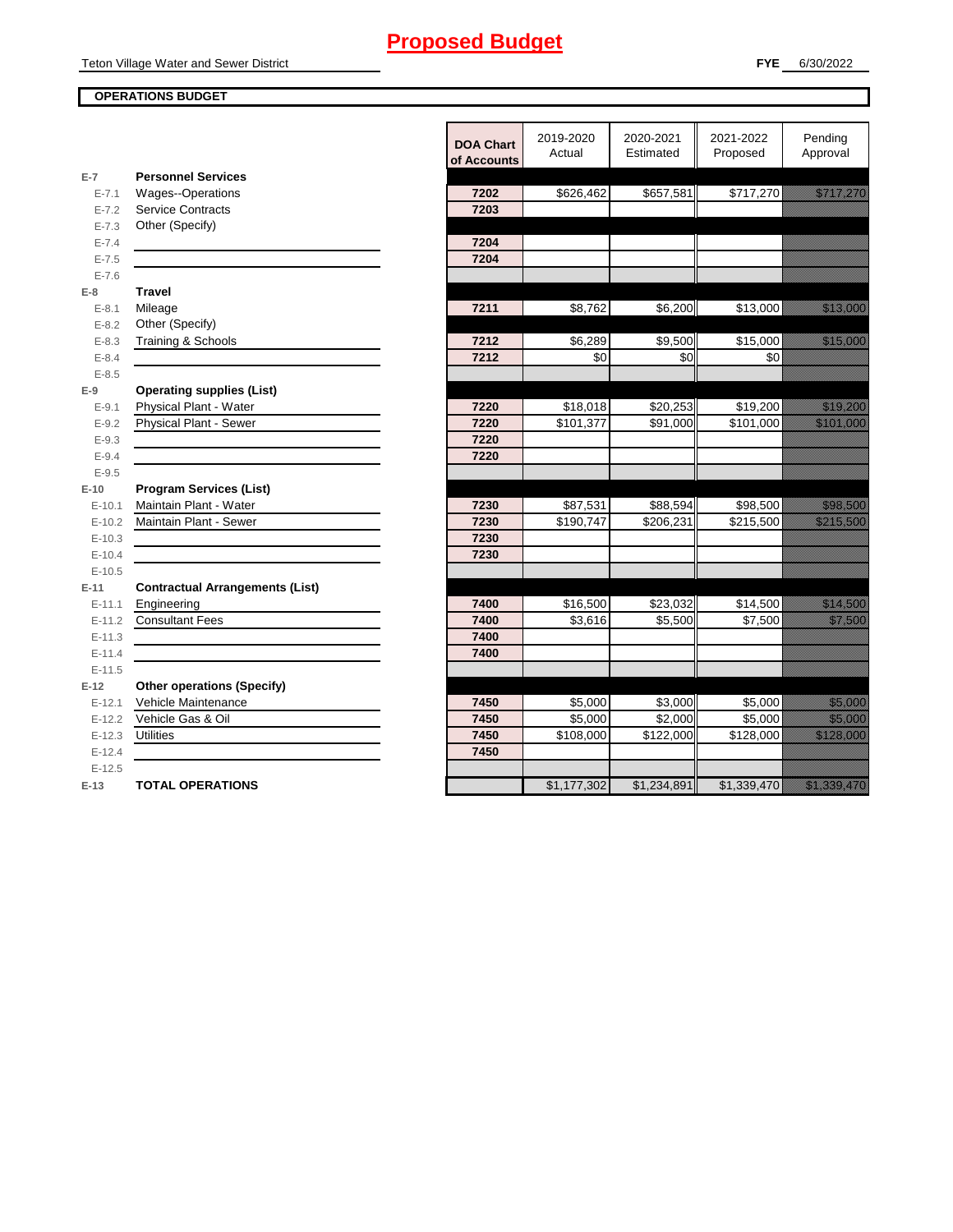## **OPERATIONS BUDGET**

en de la maria de la maria de la maria de la maria de la maria de la maria de la maria de la maria de la maria<br>Del maria de la maria de la maria de la maria de la maria de la maria de la maria de la maria de la maria de l

|                        |                                               | <b>DOA Chart</b><br>of Accounts | 2019-2020<br>Actual  | 2020-2021<br>Estimated | 2021-2022<br>Proposed | Pending<br>Approval                                                                                                    |
|------------------------|-----------------------------------------------|---------------------------------|----------------------|------------------------|-----------------------|------------------------------------------------------------------------------------------------------------------------|
| $E-7$                  | <b>Personnel Services</b>                     |                                 |                      |                        |                       |                                                                                                                        |
| $E - 7.1$              | Wages--Operations<br><b>Service Contracts</b> | 7202                            | \$626,462            | \$657,581              | \$717,270             | <u>esta tarteen on vallaneet on vallaneet on vallaneet t</u>                                                           |
| $E - 7.2$<br>$E - 7.3$ | Other (Specify)                               | 7203                            |                      |                        |                       |                                                                                                                        |
| $E - 7.4$              |                                               | 7204                            |                      |                        |                       |                                                                                                                        |
| $E - 7.5$              |                                               | 7204                            |                      |                        |                       |                                                                                                                        |
| $E - 7.6$              |                                               |                                 |                      |                        |                       |                                                                                                                        |
| $E-8$                  | <b>Travel</b>                                 |                                 |                      |                        |                       |                                                                                                                        |
| $E - 8.1$              | Mileage                                       | 7211                            | \$8,762              | \$6,200                | \$13,000              | <u>tion and the community of the community of the community of the community of the community of the community of </u> |
| $E - 8.2$              | Other (Specify)                               |                                 |                      |                        |                       |                                                                                                                        |
| $E - 8.3$              | Training & Schools                            | 7212                            | \$6,289              | \$9,500                | \$15,000              | <u> Karl Sara</u>                                                                                                      |
| $E - 8.4$              |                                               | 7212                            | \$0                  | \$0                    | \$0                   |                                                                                                                        |
| $E - 8.5$              |                                               |                                 |                      |                        |                       |                                                                                                                        |
| $E-9$                  | <b>Operating supplies (List)</b>              |                                 |                      |                        |                       |                                                                                                                        |
| $E - 9.1$              | Physical Plant - Water                        | 7220                            | $\overline{$18,018}$ | \$20,253               | \$19,200              | <u> Karl III (</u>                                                                                                     |
| $E - 9.2$              | Physical Plant - Sewer                        | 7220                            | \$101,377            | \$91,000               | \$101,000             | <u> Kalendaria (</u>                                                                                                   |
| $E - 9.3$              |                                               | 7220                            |                      |                        |                       |                                                                                                                        |
| $E - 9.4$              |                                               | 7220                            |                      |                        |                       |                                                                                                                        |
| $E-9.5$                |                                               |                                 |                      |                        |                       |                                                                                                                        |
| $E-10$                 | <b>Program Services (List)</b>                |                                 |                      |                        |                       |                                                                                                                        |
| $E-10.1$               | Maintain Plant - Water                        | 7230                            | \$87,531             | \$88,594               | \$98,500              | <u> Karl Barat da</u>                                                                                                  |
| $E-10.2$               | Maintain Plant - Sewer                        | 7230                            | \$190,747            | \$206,231              | \$215,500             |                                                                                                                        |
| $E-10.3$               |                                               | 7230                            |                      |                        |                       |                                                                                                                        |
| $E-10.4$               |                                               | 7230                            |                      |                        |                       |                                                                                                                        |
| $E-10.5$               |                                               |                                 |                      |                        |                       |                                                                                                                        |
| $E-11$                 | <b>Contractual Arrangements (List)</b>        |                                 |                      |                        |                       |                                                                                                                        |
| $E-11.1$               | Engineering                                   | 7400                            | \$16,500             | \$23,032               | \$14,500              | <u>i saman sa</u>                                                                                                      |
| $E-11.2$               | <b>Consultant Fees</b>                        | 7400                            | \$3,616              | \$5,500                | \$7,500               | <u>tions and</u>                                                                                                       |
| $E-11.3$               |                                               | 7400                            |                      |                        |                       |                                                                                                                        |
| $E-11.4$<br>$E-11.5$   |                                               | 7400                            |                      |                        |                       |                                                                                                                        |
| $E-12$                 | <b>Other operations (Specify)</b>             |                                 |                      |                        |                       |                                                                                                                        |
| $E-12.1$               | Vehicle Maintenance                           | 7450                            | \$5,000              | \$3,000                | \$5,000               | <u>tionalist partie partie partie partie partie partie partie partie partie partie partie partie partie partie p</u>   |
| $E-12.2$               | Vehicle Gas & Oil                             | 7450                            | \$5,000              | $\overline{$2,000}$    | \$5,000               | <u> Maria Sant</u>                                                                                                     |
| $E-12.3$               | Utilities                                     | 7450                            | \$108,000            | \$122,000              | \$128,000             | <u> Kalendaria (</u>                                                                                                   |
| $E-12.4$               |                                               | 7450                            |                      |                        |                       |                                                                                                                        |
| $E-12.5$               |                                               |                                 |                      |                        |                       |                                                                                                                        |
| $E-13$                 | <b>TOTAL OPERATIONS</b>                       |                                 | \$1,177,302          | \$1,234,891            | \$1,339,470           | <u>ta Marabada a</u>                                                                                                   |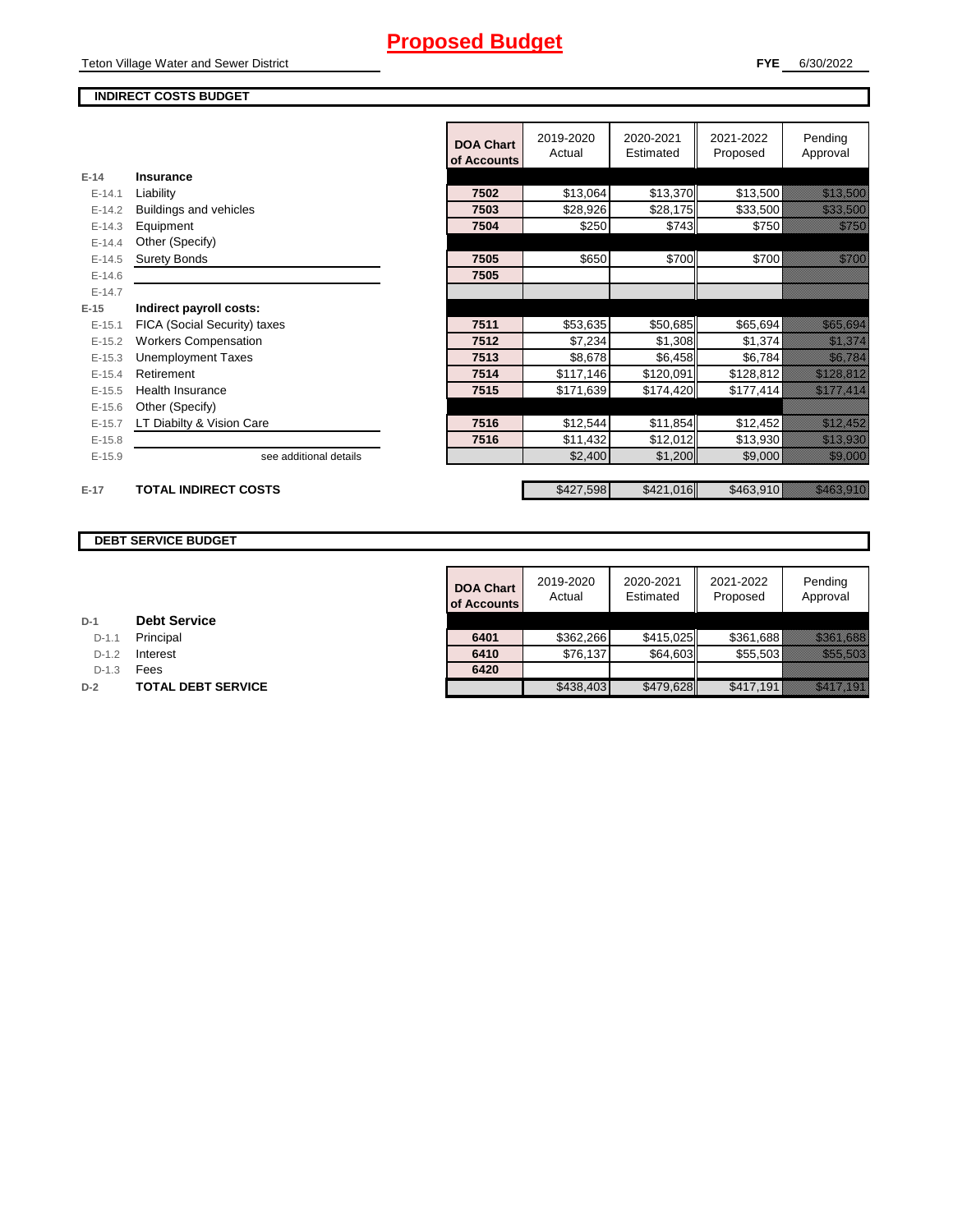## **FYE** 6/30/2022

## **INDIRECT COSTS BUDGET**

|          |                              | <b>DOA Chart</b><br>of Accounts | 2019-2020<br>Actual | 2020-2021<br>Estimated | 2021-2022<br>Proposed | Pending<br>Approval                                                                                                   |
|----------|------------------------------|---------------------------------|---------------------|------------------------|-----------------------|-----------------------------------------------------------------------------------------------------------------------|
| $E-14$   | Insurance                    |                                 |                     |                        |                       |                                                                                                                       |
| $E-14.1$ | Liability                    | 7502                            | \$13,064            | \$13,370               | \$13,500              | <u>e de la construcción de la construcción de la construcción de la construcción de la construcción de la constru</u> |
| $E-14.2$ | Buildings and vehicles       | 7503                            | \$28,926            | \$28,175               | \$33,500              | <u> Hillinger i Sta</u>                                                                                               |
| $E-14.3$ | Equipment                    | 7504                            | \$250               | \$743                  | \$750                 | <u>ti ka</u>                                                                                                          |
| $E-14.4$ | Other (Specify)              |                                 |                     |                        |                       |                                                                                                                       |
| $E-14.5$ | <b>Surety Bonds</b>          | 7505                            | \$650               | \$700                  | \$700                 | <u>ti ka</u>                                                                                                          |
| $E-14.6$ |                              | 7505                            |                     |                        |                       |                                                                                                                       |
| $E-14.7$ |                              |                                 |                     |                        |                       |                                                                                                                       |
| $E-15$   | Indirect payroll costs:      |                                 |                     |                        |                       |                                                                                                                       |
| $E-15.1$ | FICA (Social Security) taxes | 7511                            | \$53,635            | \$50,685               | \$65,694              | <u>elitika kontrolle</u>                                                                                              |
| $E-15.2$ | <b>Workers Compensation</b>  | 7512                            | \$7,234             | \$1,308                | \$1,374               | <u> Karlin Ma</u>                                                                                                     |
| $E-15.3$ | <b>Unemployment Taxes</b>    | 7513                            | \$8,678             | \$6,458                | \$6,784               | <u> Kalifornia (</u>                                                                                                  |
| $E-15.4$ | Retirement                   | 7514                            | \$117,146           | \$120,091              | \$128,812             | <u> Kalifornia (h. 1</u>                                                                                              |
| $E-15.5$ | <b>Health Insurance</b>      | 7515                            | \$171,639           | \$174,420              | \$177,414             | <u> Kalifornia (h. 1988).</u>                                                                                         |
| $E-15.6$ | Other (Specify)              |                                 |                     |                        |                       |                                                                                                                       |
| $E-15.7$ | LT Diabilty & Vision Care    | 7516                            | \$12,544            | \$11,854               | \$12,452              | <u>tik alaman ka</u>                                                                                                  |
| $E-15.8$ |                              | 7516                            | \$11,432            | \$12,012               | \$13,930              | <u> Kalèndher Ka</u>                                                                                                  |
| $E-15.9$ | see additional details       |                                 | \$2,400             | \$1,200                | \$9,000               | <u>estas est</u>                                                                                                      |
|          |                              |                                 |                     |                        |                       |                                                                                                                       |
| $E-17$   | <b>TOTAL INDIRECT COSTS</b>  |                                 | \$427,598           | \$421,016              | \$463,910             | <u> Kabupatèn Ba</u>                                                                                                  |

## **DEBT SERVICE BUDGET**

|         |                           | <b>DOA Chart</b><br>of Accounts | 2019-2020<br>Actual | 2020-2021<br>Estimated | 2021-2022<br>Proposed | Pending<br>Approval                                 |
|---------|---------------------------|---------------------------------|---------------------|------------------------|-----------------------|-----------------------------------------------------|
|         | <b>Debt Service</b>       |                                 |                     |                        |                       |                                                     |
| $D-1.1$ | Principal                 | 6401                            | \$362,266           | \$415.025              | \$361.688             | <u> Harry Constantinople and the Constantinople</u> |
| $D-1.2$ | Interest                  | 6410                            | \$76,137            | \$64,603               | \$55.503              | <u> Karlingan yang ber</u>                          |
| $D-1.3$ | Fees                      | 6420                            |                     |                        |                       |                                                     |
|         | <b>TOTAL DEBT SERVICE</b> |                                 | \$438,403           | \$479,628              | \$417,191             | <u> Karlin Maria II</u>                             |

| $D-1$   | <b>Debt Service</b> |
|---------|---------------------|
| $D-1.1$ | Principal           |
|         |                     |

**D-1.2 Interest** 

D-1.3 **Fees** 

**D-2 TOTAL DEBT SERVICE**